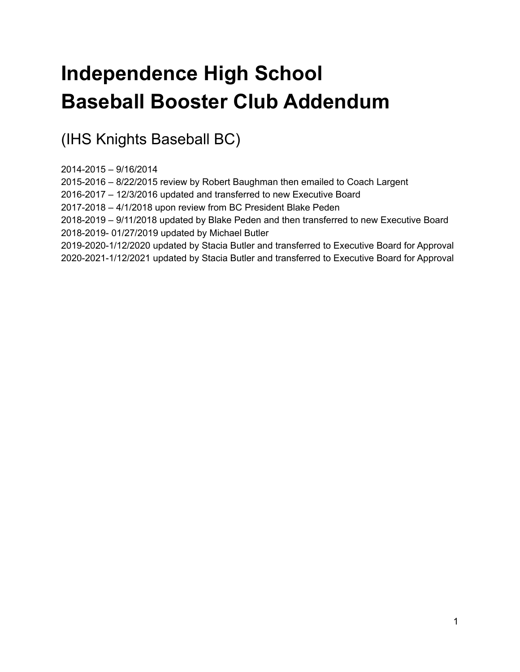# **Independence High School Baseball Booster Club Addendum**

(IHS Knights Baseball BC)

2014-2015 – 9/16/2014

2015-2016 – 8/22/2015 review by Robert Baughman then emailed to Coach Largent

2016-2017 – 12/3/2016 updated and transferred to new Executive Board

2017-2018 – 4/1/2018 upon review from BC President Blake Peden

2018-2019 – 9/11/2018 updated by Blake Peden and then transferred to new Executive Board 2018-2019- 01/27/2019 updated by Michael Butler

2019-2020-1/12/2020 updated by Stacia Butler and transferred to Executive Board for Approval 2020-2021-1/12/2021 updated by Stacia Butler and transferred to Executive Board for Approval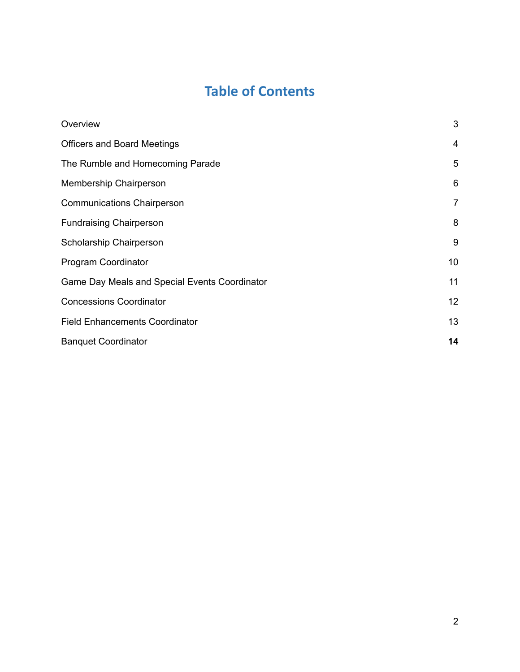## **Table of Contents**

| Overview                                      | 3              |
|-----------------------------------------------|----------------|
| <b>Officers and Board Meetings</b>            | 4              |
| The Rumble and Homecoming Parade              | 5              |
| Membership Chairperson                        | 6              |
| <b>Communications Chairperson</b>             | $\overline{7}$ |
| <b>Fundraising Chairperson</b>                | 8              |
| Scholarship Chairperson                       | 9              |
| Program Coordinator                           | 10             |
| Game Day Meals and Special Events Coordinator | 11             |
| <b>Concessions Coordinator</b>                | 12             |
| <b>Field Enhancements Coordinator</b>         | 13             |
| <b>Banquet Coordinator</b>                    | 14             |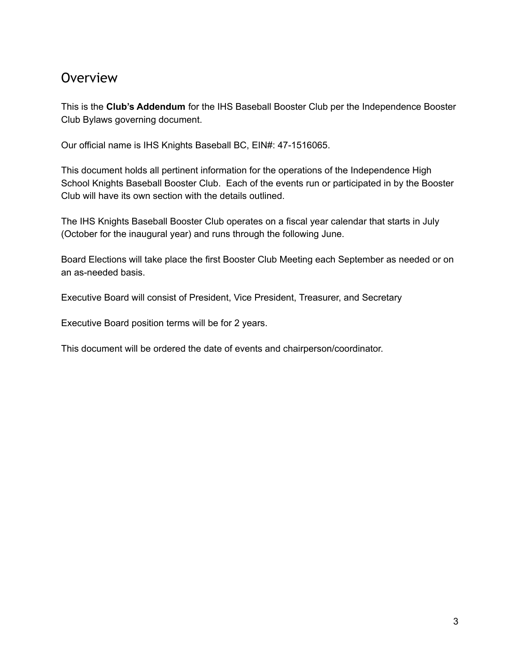#### <span id="page-2-0"></span>**Overview**

This is the **Club's Addendum** for the IHS Baseball Booster Club per the Independence Booster Club Bylaws governing document.

Our official name is IHS Knights Baseball BC, EIN#: 47-1516065.

This document holds all pertinent information for the operations of the Independence High School Knights Baseball Booster Club. Each of the events run or participated in by the Booster Club will have its own section with the details outlined.

The IHS Knights Baseball Booster Club operates on a fiscal year calendar that starts in July (October for the inaugural year) and runs through the following June.

Board Elections will take place the first Booster Club Meeting each September as needed or on an as-needed basis.

Executive Board will consist of President, Vice President, Treasurer, and Secretary

Executive Board position terms will be for 2 years.

This document will be ordered the date of events and chairperson/coordinator.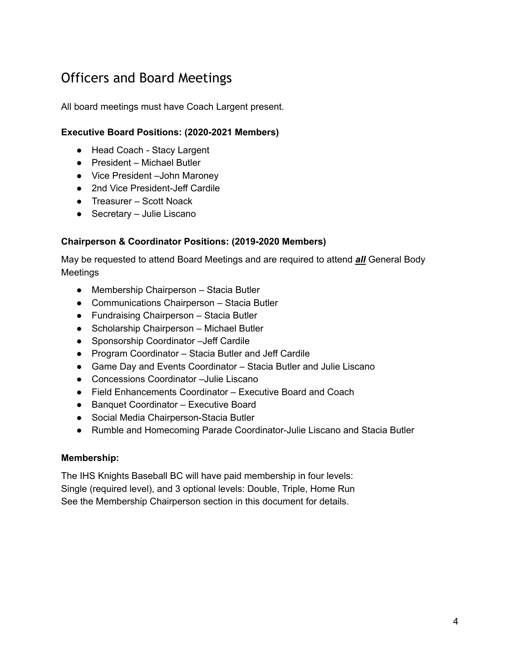#### <span id="page-3-0"></span>Officers and Board Meetings

All board meetings must have Coach Largent present.

#### **Executive Board Positions: (2020-2021 Members)**

- Head Coach Stacy Largent
- President Michael Butler
- Vice President –John Maroney
- 2nd Vice President-Jeff Cardile
- Treasurer Scott Noack
- Secretary Julie Liscano

#### **Chairperson & Coordinator Positions: (2019-2020 Members)**

May be requested to attend Board Meetings and are required to attend *all* General Body Meetings

- Membership Chairperson Stacia Butler
- Communications Chairperson Stacia Butler
- Fundraising Chairperson Stacia Butler
- Scholarship Chairperson Michael Butler
- Sponsorship Coordinator –Jeff Cardile
- Program Coordinator Stacia Butler and Jeff Cardile
- Game Day and Events Coordinator Stacia Butler and Julie Liscano
- Concessions Coordinator –Julie Liscano
- Field Enhancements Coordinator Executive Board and Coach
- Banquet Coordinator Executive Board
- Social Media Chairperson-Stacia Butler
- Rumble and Homecoming Parade Coordinator-Julie Liscano and Stacia Butler

#### **Membership:**

The IHS Knights Baseball BC will have paid membership in four levels: Single (required level), and 3 optional levels: Double, Triple, Home Run See the Membership Chairperson section in this document for details.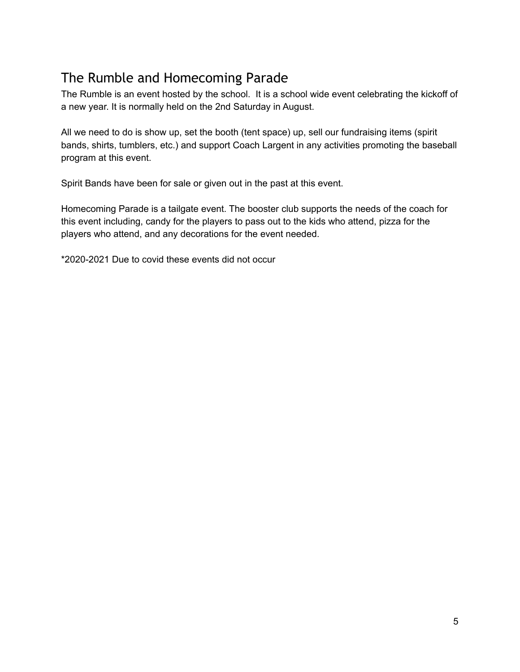### <span id="page-4-0"></span>The Rumble and Homecoming Parade

The Rumble is an event hosted by the school. It is a school wide event celebrating the kickoff of a new year. It is normally held on the 2nd Saturday in August.

All we need to do is show up, set the booth (tent space) up, sell our fundraising items (spirit bands, shirts, tumblers, etc.) and support Coach Largent in any activities promoting the baseball program at this event.

Spirit Bands have been for sale or given out in the past at this event.

Homecoming Parade is a tailgate event. The booster club supports the needs of the coach for this event including, candy for the players to pass out to the kids who attend, pizza for the players who attend, and any decorations for the event needed.

\*2020-2021 Due to covid these events did not occur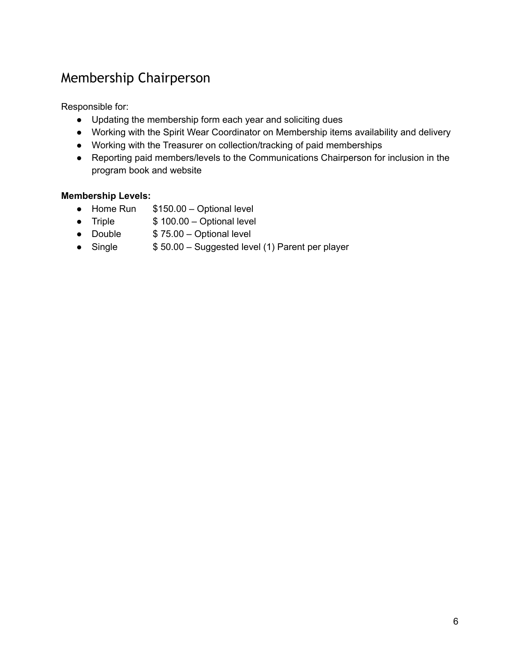#### <span id="page-5-0"></span>Membership Chairperson

Responsible for:

- Updating the membership form each year and soliciting dues
- Working with the Spirit Wear Coordinator on Membership items availability and delivery
- Working with the Treasurer on collection/tracking of paid memberships
- Reporting paid members/levels to the Communications Chairperson for inclusion in the program book and website

#### **Membership Levels:**

- Home Run \$150.00 Optional level
- Triple \$ 100.00 Optional level
- Double \$ 75.00 Optional level
- Single \$ 50.00 Suggested level (1) Parent per player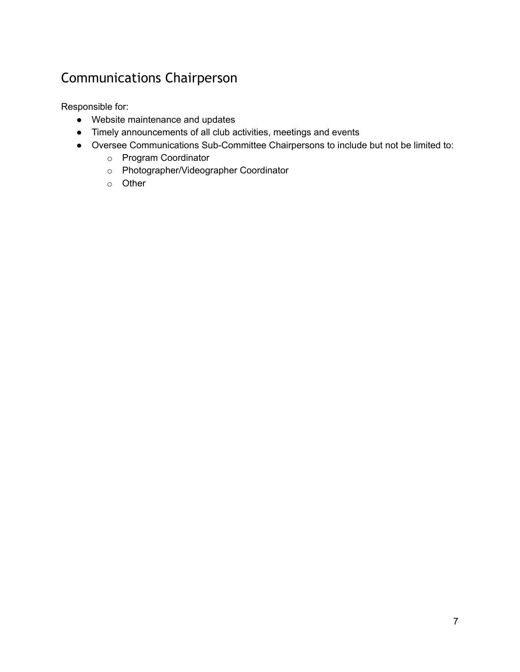### <span id="page-6-0"></span>Communications Chairperson

- Website maintenance and updates
- Timely announcements of all club activities, meetings and events
- Oversee Communications Sub-Committee Chairpersons to include but not be limited to:
	- o Program Coordinator
	- o Photographer/Videographer Coordinator
	- o Other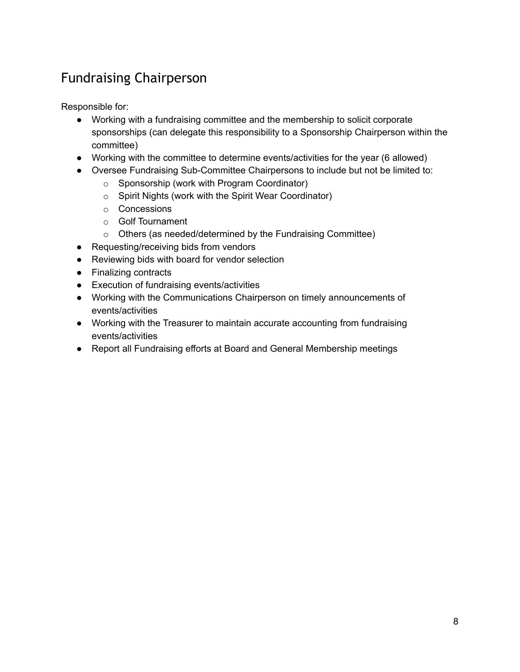### <span id="page-7-0"></span>Fundraising Chairperson

- Working with a fundraising committee and the membership to solicit corporate sponsorships (can delegate this responsibility to a Sponsorship Chairperson within the committee)
- Working with the committee to determine events/activities for the year (6 allowed)
- Oversee Fundraising Sub-Committee Chairpersons to include but not be limited to:
	- o Sponsorship (work with Program Coordinator)
	- o Spirit Nights (work with the Spirit Wear Coordinator)
	- o Concessions
	- o Golf Tournament
	- o Others (as needed/determined by the Fundraising Committee)
- Requesting/receiving bids from vendors
- Reviewing bids with board for vendor selection
- Finalizing contracts
- Execution of fundraising events/activities
- Working with the Communications Chairperson on timely announcements of events/activities
- Working with the Treasurer to maintain accurate accounting from fundraising events/activities
- Report all Fundraising efforts at Board and General Membership meetings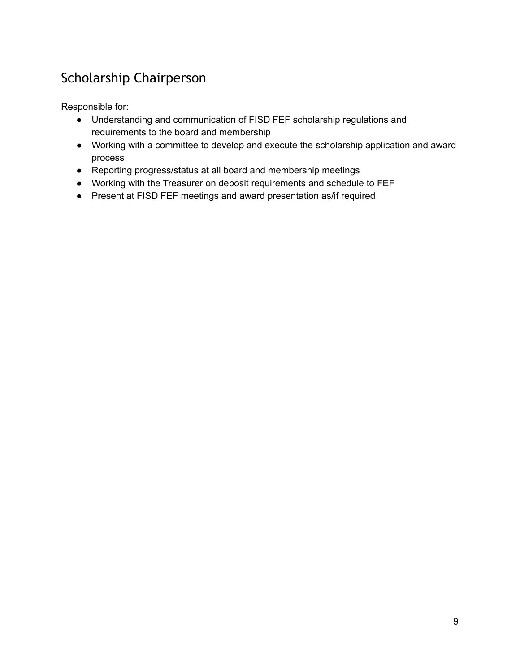### <span id="page-8-0"></span>Scholarship Chairperson

- Understanding and communication of FISD FEF scholarship regulations and requirements to the board and membership
- Working with a committee to develop and execute the scholarship application and award process
- Reporting progress/status at all board and membership meetings
- Working with the Treasurer on deposit requirements and schedule to FEF
- Present at FISD FEF meetings and award presentation as/if required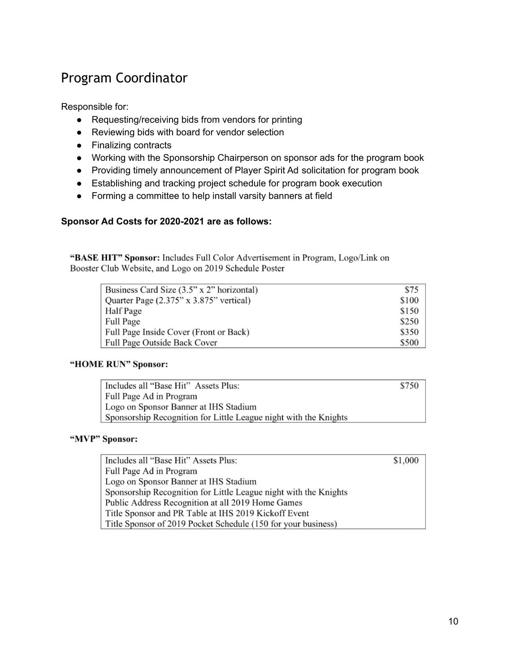### <span id="page-9-0"></span>Program Coordinator

Responsible for:

- Requesting/receiving bids from vendors for printing
- Reviewing bids with board for vendor selection
- Finalizing contracts
- Working with the Sponsorship Chairperson on sponsor ads for the program book
- Providing timely announcement of Player Spirit Ad solicitation for program book
- Establishing and tracking project schedule for program book execution
- Forming a committee to help install varsity banners at field

#### **Sponsor Ad Costs for 2020-2021 are as follows:**

"BASE HIT" Sponsor: Includes Full Color Advertisement in Program, Logo/Link on Booster Club Website, and Logo on 2019 Schedule Poster

| Business Card Size (3.5" x 2" horizontal) | \$75  |
|-------------------------------------------|-------|
| Quarter Page (2.375" x 3.875" vertical)   | \$100 |
| Half Page                                 | \$150 |
| <b>Full Page</b>                          | \$250 |
| Full Page Inside Cover (Front or Back)    | \$350 |
| Full Page Outside Back Cover              | \$500 |

#### "HOME RUN" Sponsor:

| Includes all "Base Hit" Assets Plus:                             | \$750 |
|------------------------------------------------------------------|-------|
| Full Page Ad in Program                                          |       |
| Logo on Sponsor Banner at IHS Stadium                            |       |
| Sponsorship Recognition for Little League night with the Knights |       |

#### "MVP" Sponsor:

Includes all "Base Hit" Assets Plus: \$1,000 Full Page Ad in Program Logo on Sponsor Banner at IHS Stadium Sponsorship Recognition for Little League night with the Knights Public Address Recognition at all 2019 Home Games Title Sponsor and PR Table at IHS 2019 Kickoff Event Title Sponsor of 2019 Pocket Schedule (150 for your business)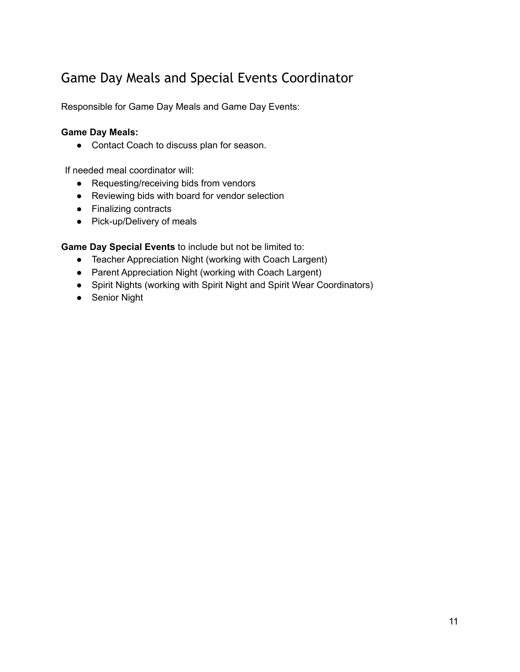### <span id="page-10-0"></span>Game Day Meals and Special Events Coordinator

Responsible for Game Day Meals and Game Day Events:

#### **Game Day Meals:**

● Contact Coach to discuss plan for season.

If needed meal coordinator will:

- Requesting/receiving bids from vendors
- Reviewing bids with board for vendor selection
- Finalizing contracts
- Pick-up/Delivery of meals

**Game Day Special Events** to include but not be limited to:

- Teacher Appreciation Night (working with Coach Largent)
- Parent Appreciation Night (working with Coach Largent)
- Spirit Nights (working with Spirit Night and Spirit Wear Coordinators)
- Senior Night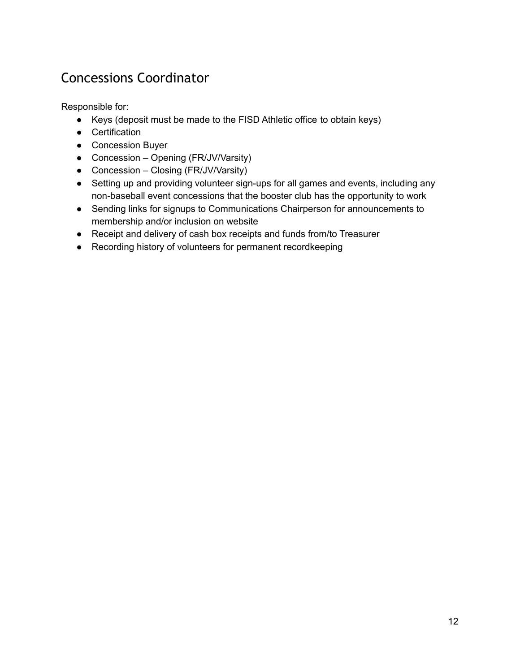### <span id="page-11-0"></span>Concessions Coordinator

- Keys (deposit must be made to the FISD Athletic office to obtain keys)
- Certification
- Concession Buyer
- Concession Opening (FR/JV/Varsity)
- Concession Closing (FR/JV/Varsity)
- Setting up and providing volunteer sign-ups for all games and events, including any non-baseball event concessions that the booster club has the opportunity to work
- Sending links for signups to Communications Chairperson for announcements to membership and/or inclusion on website
- Receipt and delivery of cash box receipts and funds from/to Treasurer
- Recording history of volunteers for permanent recordkeeping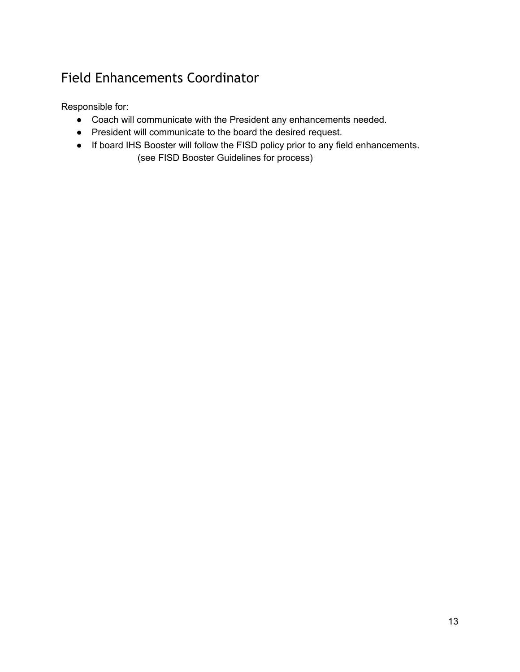### <span id="page-12-0"></span>Field Enhancements Coordinator

- Coach will communicate with the President any enhancements needed.
- President will communicate to the board the desired request.
- If board IHS Booster will follow the FISD policy prior to any field enhancements. (see FISD Booster Guidelines for process)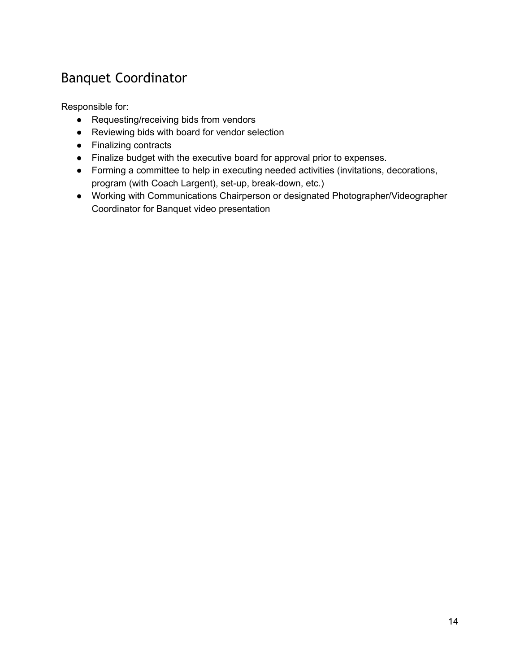### <span id="page-13-0"></span>Banquet Coordinator

- Requesting/receiving bids from vendors
- Reviewing bids with board for vendor selection
- Finalizing contracts
- Finalize budget with the executive board for approval prior to expenses.
- Forming a committee to help in executing needed activities (invitations, decorations, program (with Coach Largent), set-up, break-down, etc.)
- Working with Communications Chairperson or designated Photographer/Videographer Coordinator for Banquet video presentation